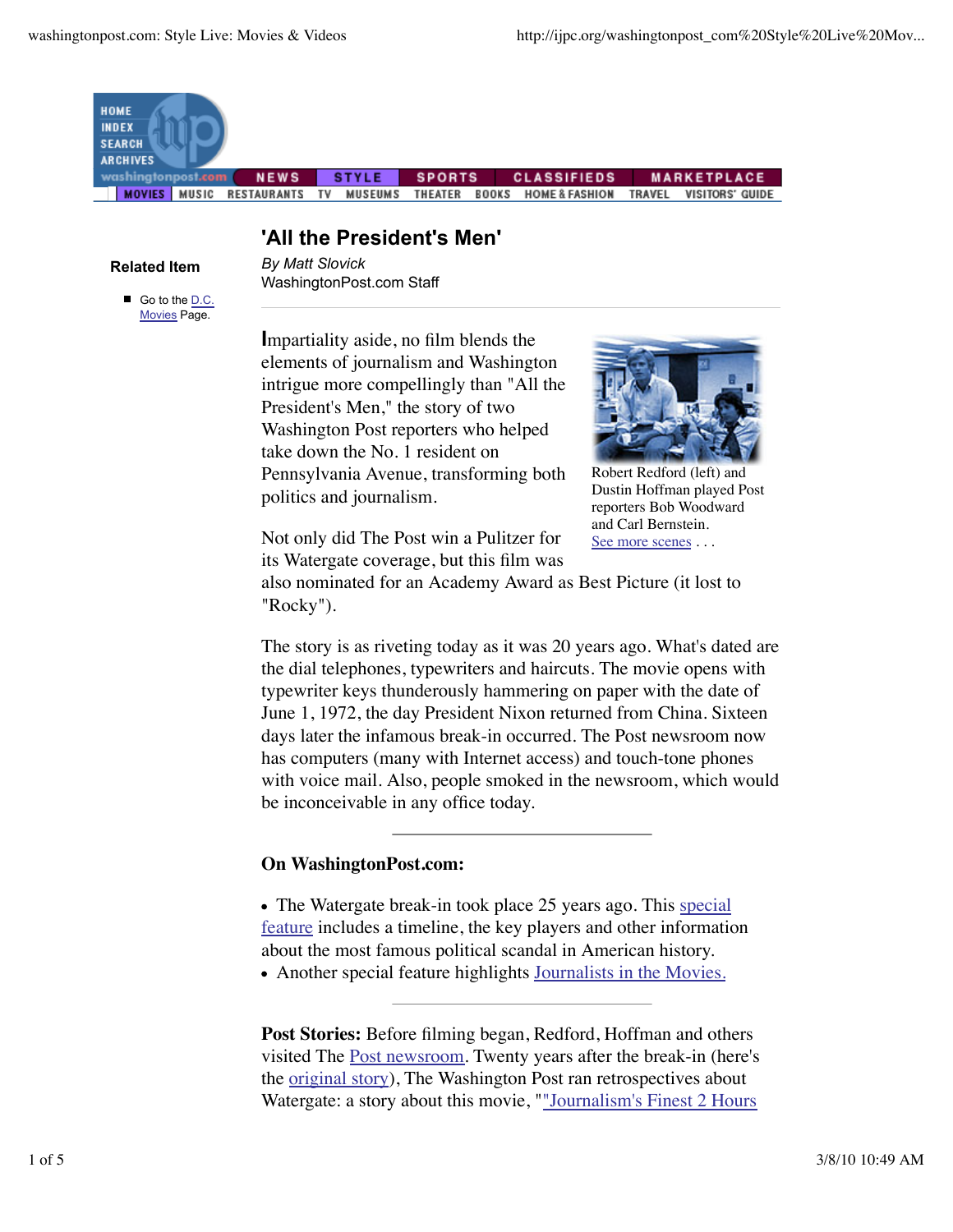

# **'All the President's Men'**

### **Related Item**

Go to the D.C. Movies Page.

*By Matt Slovick* WashingtonPost.com Staff

**I**mpartiality aside, no film blends the elements of journalism and Washington intrigue more compellingly than "All the President's Men," the story of two Washington Post reporters who helped take down the No. 1 resident on Pennsylvania Avenue, transforming both politics and journalism.



Robert Redford (left) and Dustin Hoffman played Post reporters Bob Woodward and Carl Bernstein. See more scenes . . .

Not only did The Post win a Pulitzer for its Watergate coverage, but this film was

also nominated for an Academy Award as Best Picture (it lost to "Rocky").

The story is as riveting today as it was 20 years ago. What's dated are the dial telephones, typewriters and haircuts. The movie opens with typewriter keys thunderously hammering on paper with the date of June 1, 1972, the day President Nixon returned from China. Sixteen days later the infamous break-in occurred. The Post newsroom now has computers (many with Internet access) and touch-tone phones with voice mail. Also, people smoked in the newsroom, which would be inconceivable in any office today.

## **On WashingtonPost.com:**

• The Watergate break-in took place 25 years ago. This special feature includes a timeline, the key players and other information about the most famous political scandal in American history.

• Another special feature highlights Journalists in the Movies.

**Post Stories:** Before filming began, Redford, Hoffman and others visited The Post newsroom. Twenty years after the break-in (here's the original story), The Washington Post ran retrospectives about Watergate: a story about this movie, ""Journalism's Finest 2 Hours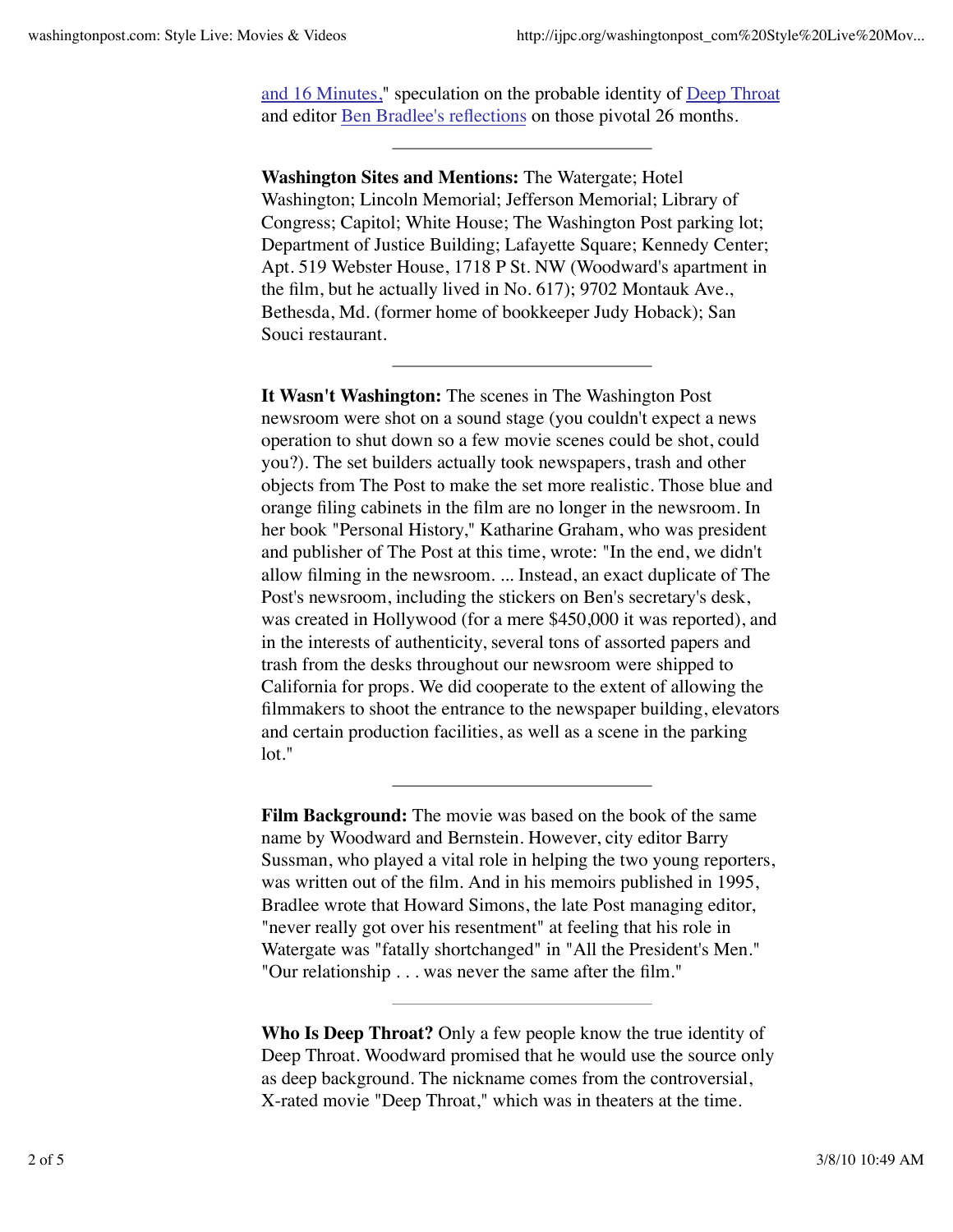and 16 Minutes," speculation on the probable identity of Deep Throat and editor Ben Bradlee's reflections on those pivotal 26 months.

**Washington Sites and Mentions:** The Watergate; Hotel Washington; Lincoln Memorial; Jefferson Memorial; Library of Congress; Capitol; White House; The Washington Post parking lot; Department of Justice Building; Lafayette Square; Kennedy Center; Apt. 519 Webster House, 1718 P St. NW (Woodward's apartment in the film, but he actually lived in No. 617); 9702 Montauk Ave., Bethesda, Md. (former home of bookkeeper Judy Hoback); San Souci restaurant.

**It Wasn't Washington:** The scenes in The Washington Post newsroom were shot on a sound stage (you couldn't expect a news operation to shut down so a few movie scenes could be shot, could you?). The set builders actually took newspapers, trash and other objects from The Post to make the set more realistic. Those blue and orange filing cabinets in the film are no longer in the newsroom. In her book "Personal History," Katharine Graham, who was president and publisher of The Post at this time, wrote: "In the end, we didn't allow filming in the newsroom. ... Instead, an exact duplicate of The Post's newsroom, including the stickers on Ben's secretary's desk, was created in Hollywood (for a mere \$450,000 it was reported), and in the interests of authenticity, several tons of assorted papers and trash from the desks throughout our newsroom were shipped to California for props. We did cooperate to the extent of allowing the filmmakers to shoot the entrance to the newspaper building, elevators and certain production facilities, as well as a scene in the parking lot."

**Film Background:** The movie was based on the book of the same name by Woodward and Bernstein. However, city editor Barry Sussman, who played a vital role in helping the two young reporters, was written out of the film. And in his memoirs published in 1995, Bradlee wrote that Howard Simons, the late Post managing editor, "never really got over his resentment" at feeling that his role in Watergate was "fatally shortchanged" in "All the President's Men." "Our relationship . . . was never the same after the film."

**Who Is Deep Throat?** Only a few people know the true identity of Deep Throat. Woodward promised that he would use the source only as deep background. The nickname comes from the controversial, X-rated movie "Deep Throat," which was in theaters at the time.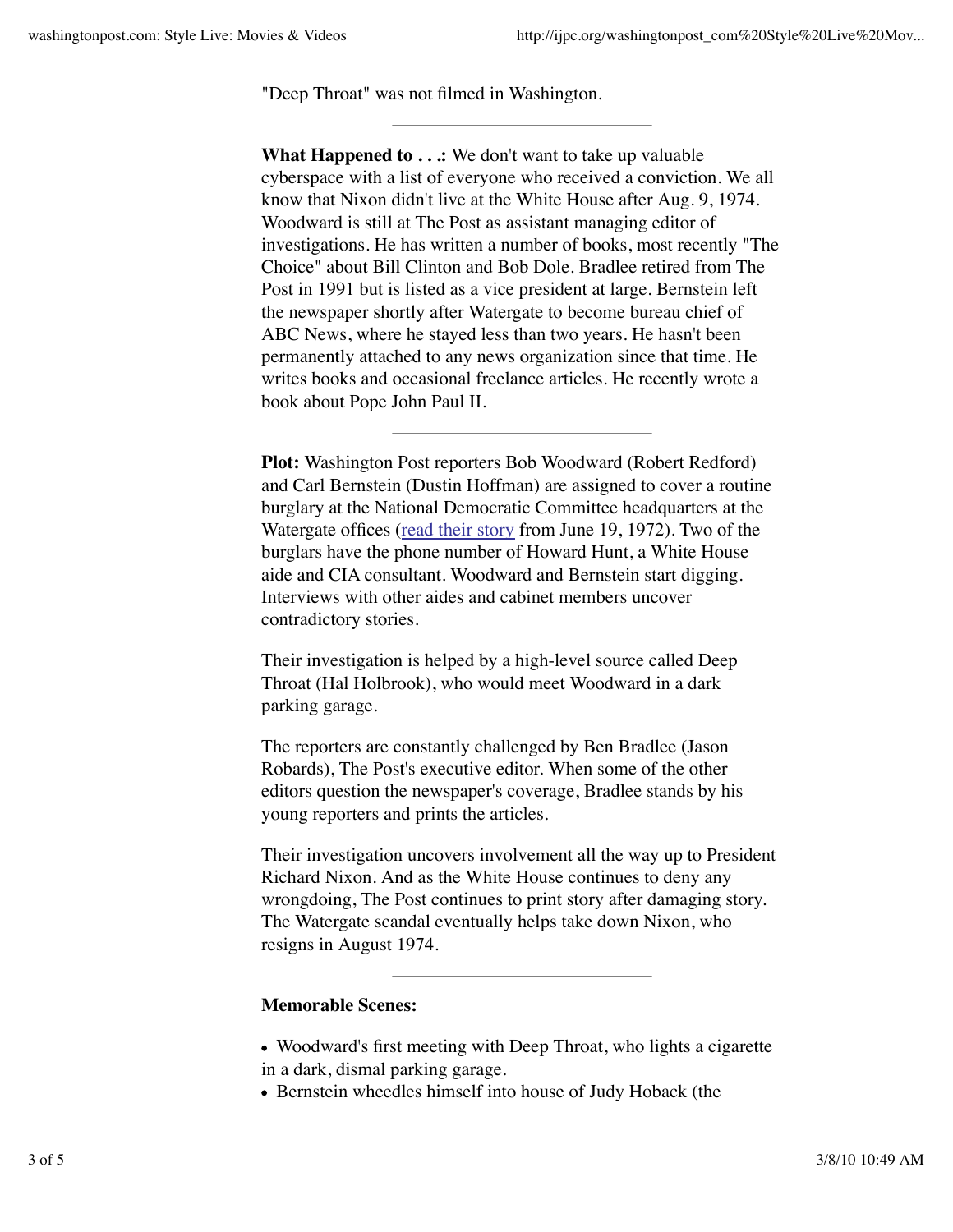"Deep Throat" was not filmed in Washington.

**What Happened to . . .:** We don't want to take up valuable cyberspace with a list of everyone who received a conviction. We all know that Nixon didn't live at the White House after Aug. 9, 1974. Woodward is still at The Post as assistant managing editor of investigations. He has written a number of books, most recently "The Choice" about Bill Clinton and Bob Dole. Bradlee retired from The Post in 1991 but is listed as a vice president at large. Bernstein left the newspaper shortly after Watergate to become bureau chief of ABC News, where he stayed less than two years. He hasn't been permanently attached to any news organization since that time. He writes books and occasional freelance articles. He recently wrote a book about Pope John Paul II.

**Plot:** Washington Post reporters Bob Woodward (Robert Redford) and Carl Bernstein (Dustin Hoffman) are assigned to cover a routine burglary at the National Democratic Committee headquarters at the Watergate offices (read their story from June 19, 1972). Two of the burglars have the phone number of Howard Hunt, a White House aide and CIA consultant. Woodward and Bernstein start digging. Interviews with other aides and cabinet members uncover contradictory stories.

Their investigation is helped by a high-level source called Deep Throat (Hal Holbrook), who would meet Woodward in a dark parking garage.

The reporters are constantly challenged by Ben Bradlee (Jason Robards), The Post's executive editor. When some of the other editors question the newspaper's coverage, Bradlee stands by his young reporters and prints the articles.

Their investigation uncovers involvement all the way up to President Richard Nixon. And as the White House continues to deny any wrongdoing, The Post continues to print story after damaging story. The Watergate scandal eventually helps take down Nixon, who resigns in August 1974.

## **Memorable Scenes:**

- Woodward's first meeting with Deep Throat, who lights a cigarette in a dark, dismal parking garage.
- Bernstein wheedles himself into house of Judy Hoback (the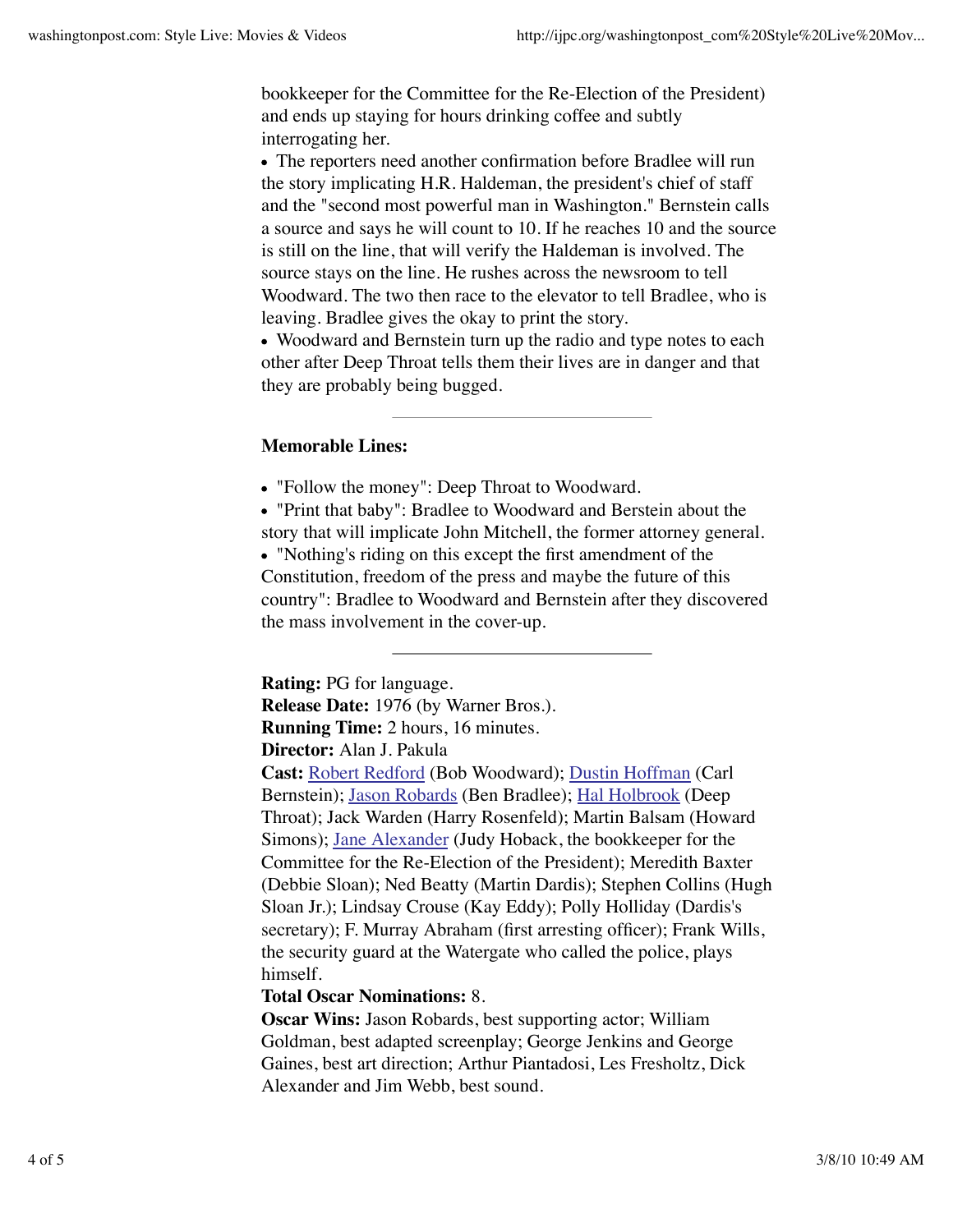bookkeeper for the Committee for the Re-Election of the President) and ends up staying for hours drinking coffee and subtly interrogating her.

The reporters need another confirmation before Bradlee will run the story implicating H.R. Haldeman, the president's chief of staff and the "second most powerful man in Washington." Bernstein calls a source and says he will count to 10. If he reaches 10 and the source is still on the line, that will verify the Haldeman is involved. The source stays on the line. He rushes across the newsroom to tell Woodward. The two then race to the elevator to tell Bradlee, who is leaving. Bradlee gives the okay to print the story.

• Woodward and Bernstein turn up the radio and type notes to each other after Deep Throat tells them their lives are in danger and that they are probably being bugged.

## **Memorable Lines:**

• "Follow the money": Deep Throat to Woodward.

"Print that baby": Bradlee to Woodward and Berstein about the story that will implicate John Mitchell, the former attorney general.

"Nothing's riding on this except the first amendment of the Constitution, freedom of the press and maybe the future of this country": Bradlee to Woodward and Bernstein after they discovered the mass involvement in the cover-up.

**Rating:** PG for language.

**Release Date:** 1976 (by Warner Bros.).

**Running Time:** 2 hours, 16 minutes.

**Director:** Alan J. Pakula

**Cast:** Robert Redford (Bob Woodward); Dustin Hoffman (Carl Bernstein); Jason Robards (Ben Bradlee); Hal Holbrook (Deep Throat); Jack Warden (Harry Rosenfeld); Martin Balsam (Howard Simons); Jane Alexander (Judy Hoback, the bookkeeper for the Committee for the Re-Election of the President); Meredith Baxter (Debbie Sloan); Ned Beatty (Martin Dardis); Stephen Collins (Hugh Sloan Jr.); Lindsay Crouse (Kay Eddy); Polly Holliday (Dardis's secretary); F. Murray Abraham (first arresting officer); Frank Wills, the security guard at the Watergate who called the police, plays himself.

## **Total Oscar Nominations:** 8.

**Oscar Wins:** Jason Robards, best supporting actor; William Goldman, best adapted screenplay; George Jenkins and George Gaines, best art direction; Arthur Piantadosi, Les Fresholtz, Dick Alexander and Jim Webb, best sound.